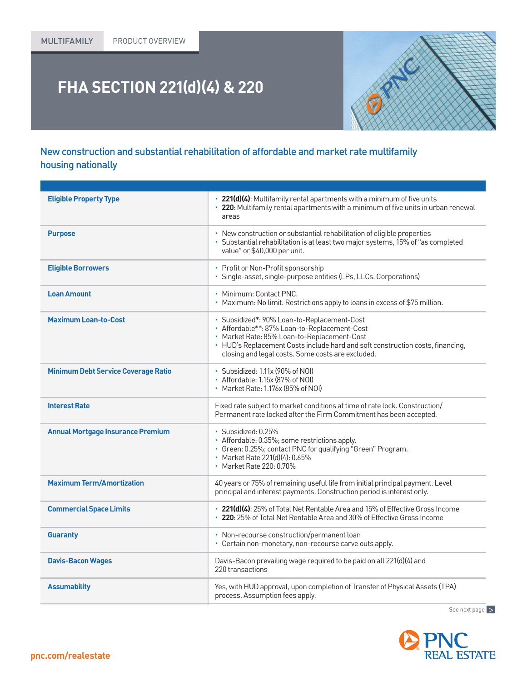## **FHA SECTION 221(d)(4) & 220**

## New construction and substantial rehabilitation of affordable and market rate multifamily housing nationally

| <b>Eligible Property Type</b>              | • 221(d)(4): Multifamily rental apartments with a minimum of five units<br>• 220: Multifamily rental apartments with a minimum of five units in urban renewal<br>areas                                                                                                            |
|--------------------------------------------|-----------------------------------------------------------------------------------------------------------------------------------------------------------------------------------------------------------------------------------------------------------------------------------|
| <b>Purpose</b>                             | • New construction or substantial rehabilitation of eligible properties<br>Substantial rehabilitation is at least two major systems, 15% of "as completed<br>value" or \$40,000 per unit.                                                                                         |
| <b>Eligible Borrowers</b>                  | • Profit or Non-Profit sponsorship<br>· Single-asset, single-purpose entities (LPs, LLCs, Corporations)                                                                                                                                                                           |
| <b>Loan Amount</b>                         | • Minimum: Contact PNC.<br>• Maximum: No limit. Restrictions apply to loans in excess of \$75 million.                                                                                                                                                                            |
| <b>Maximum Loan-to-Cost</b>                | · Subsidized*: 90% Loan-to-Replacement-Cost<br>• Affordable**: 87% Loan-to-Replacement-Cost<br>· Market Rate: 85% Loan-to-Replacement-Cost<br>• HUD's Replacement Costs include hard and soft construction costs, financing,<br>closing and legal costs. Some costs are excluded. |
| <b>Minimum Debt Service Coverage Ratio</b> | • Subsidized: 1.11x (90% of NOI)<br>• Affordable: 1.15x (87% of NOI)<br>• Market Rate: 1.176x (85% of NOI)                                                                                                                                                                        |
| <b>Interest Rate</b>                       | Fixed rate subject to market conditions at time of rate lock. Construction/<br>Permanent rate locked after the Firm Commitment has been accepted.                                                                                                                                 |
| <b>Annual Mortgage Insurance Premium</b>   | • Subsidized: 0.25%<br>• Affordable: 0.35%; some restrictions apply.<br>• Green: 0.25%; contact PNC for qualifying "Green" Program.<br>• Market Rate 221(d)(4): 0.65%<br>• Market Rate 220: 0.70%                                                                                 |
| <b>Maximum Term/Amortization</b>           | 40 years or 75% of remaining useful life from initial principal payment. Level<br>principal and interest payments. Construction period is interest only.                                                                                                                          |
| <b>Commercial Space Limits</b>             | • 221(d)(4): 25% of Total Net Rentable Area and 15% of Effective Gross Income<br>• 220: 25% of Total Net Rentable Area and 30% of Effective Gross Income                                                                                                                          |
| <b>Guaranty</b>                            | • Non-recourse construction/permanent loan<br>• Certain non-monetary, non-recourse carve outs apply.                                                                                                                                                                              |
| <b>Davis-Bacon Wages</b>                   | Davis-Bacon prevailing wage required to be paid on all 221(d)(4) and<br>220 transactions                                                                                                                                                                                          |
| <b>Assumability</b>                        | Yes, with HUD approval, upon completion of Transfer of Physical Assets (TPA)<br>process. Assumption fees apply.                                                                                                                                                                   |

See next page >